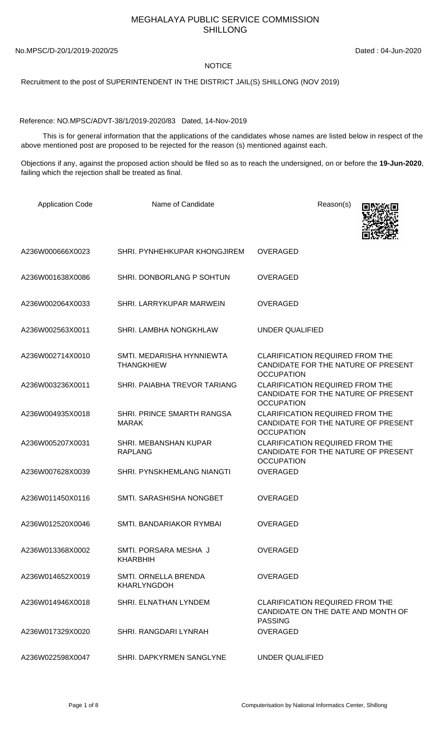## MEGHALAYA PUBLIC SERVICE COMMISSION SHILLONG

No.MPSC/D-20/1/2019-2020/25 Dated : 04-Jun-2020

## **NOTICE**

Recruitment to the post of SUPERINTENDENT IN THE DISTRICT JAIL(S) SHILLONG (NOV 2019)

Reference: NO.MPSC/ADVT-38/1/2019-2020/83 Dated, 14-Nov-2019

 This is for general information that the applications of the candidates whose names are listed below in respect of the above mentioned post are proposed to be rejected for the reason (s) mentioned against each.

Objections if any, against the proposed action should be filed so as to reach the undersigned, on or before the **19-Jun-2020**, failing which the rejection shall be treated as final.

| <b>Application Code</b> | Name of Candidate                              | Reason(s)                                                                                          |
|-------------------------|------------------------------------------------|----------------------------------------------------------------------------------------------------|
| A236W000666X0023        | SHRI. PYNHEHKUPAR KHONGJIREM                   | <b>OVERAGED</b>                                                                                    |
| A236W001638X0086        | SHRI. DONBORLANG P SOHTUN                      | <b>OVERAGED</b>                                                                                    |
| A236W002064X0033        | SHRI. LARRYKUPAR MARWEIN                       | <b>OVERAGED</b>                                                                                    |
| A236W002563X0011        | SHRI. LAMBHA NONGKHLAW                         | UNDER QUALIFIED                                                                                    |
| A236W002714X0010        | SMTI, MEDARISHA HYNNIEWTA<br><b>THANGKHIEW</b> | <b>CLARIFICATION REQUIRED FROM THE</b><br>CANDIDATE FOR THE NATURE OF PRESENT<br><b>OCCUPATION</b> |
| A236W003236X0011        | SHRI. PAIABHA TREVOR TARIANG                   | <b>CLARIFICATION REQUIRED FROM THE</b><br>CANDIDATE FOR THE NATURE OF PRESENT<br><b>OCCUPATION</b> |
| A236W004935X0018        | SHRI. PRINCE SMARTH RANGSA<br><b>MARAK</b>     | <b>CLARIFICATION REQUIRED FROM THE</b><br>CANDIDATE FOR THE NATURE OF PRESENT<br><b>OCCUPATION</b> |
| A236W005207X0031        | SHRI. MEBANSHAN KUPAR<br><b>RAPLANG</b>        | <b>CLARIFICATION REQUIRED FROM THE</b><br>CANDIDATE FOR THE NATURE OF PRESENT<br><b>OCCUPATION</b> |
| A236W007628X0039        | SHRI. PYNSKHEMLANG NIANGTI                     | <b>OVERAGED</b>                                                                                    |
| A236W011450X0116        | SMTI. SARASHISHA NONGBET                       | <b>OVERAGED</b>                                                                                    |
| A236W012520X0046        | SMTI. BANDARIAKOR RYMBAI                       | <b>OVERAGED</b>                                                                                    |
| A236W013368X0002        | SMTI. PORSARA MESHA J<br>KHARBHIH              | <b>OVERAGED</b>                                                                                    |
| A236W014652X0019        | SMTI. ORNELLA BRENDA<br><b>KHARLYNGDOH</b>     | <b>OVERAGED</b>                                                                                    |
| A236W014946X0018        | SHRI. ELNATHAN LYNDEM                          | <b>CLARIFICATION REQUIRED FROM THE</b><br>CANDIDATE ON THE DATE AND MONTH OF<br><b>PASSING</b>     |
| A236W017329X0020        | SHRI, RANGDARI LYNRAH                          | <b>OVERAGED</b>                                                                                    |
| A236W022598X0047        | SHRI. DAPKYRMEN SANGLYNE                       | UNDER QUALIFIED                                                                                    |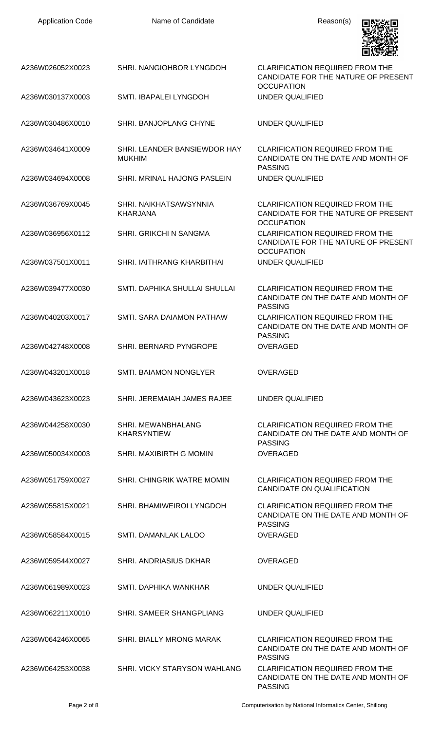| <b>Application Code</b> | Name of Candidate                             | Reason(s)                                                                                          |
|-------------------------|-----------------------------------------------|----------------------------------------------------------------------------------------------------|
| A236W026052X0023        | SHRI. NANGIOHBOR LYNGDOH                      | <b>CLARIFICATION REQUIRED FROM THE</b><br>CANDIDATE FOR THE NATURE OF PRESENT<br><b>OCCUPATION</b> |
| A236W030137X0003        | SMTI. IBAPALEI LYNGDOH                        | <b>UNDER QUALIFIED</b>                                                                             |
| A236W030486X0010        | SHRI. BANJOPLANG CHYNE                        | UNDER QUALIFIED                                                                                    |
| A236W034641X0009        | SHRI. LEANDER BANSIEWDOR HAY<br><b>MUKHIM</b> | <b>CLARIFICATION REQUIRED FROM THE</b><br>CANDIDATE ON THE DATE AND MONTH OF<br><b>PASSING</b>     |
| A236W034694X0008        | SHRI. MRINAL HAJONG PASLEIN                   | <b>UNDER QUALIFIED</b>                                                                             |
| A236W036769X0045        | SHRI. NAIKHATSAWSYNNIA<br><b>KHARJANA</b>     | <b>CLARIFICATION REQUIRED FROM THE</b><br>CANDIDATE FOR THE NATURE OF PRESENT<br><b>OCCUPATION</b> |
| A236W036956X0112        | <b>SHRI. GRIKCHI N SANGMA</b>                 | <b>CLARIFICATION REQUIRED FROM THE</b><br>CANDIDATE FOR THE NATURE OF PRESENT<br><b>OCCUPATION</b> |
| A236W037501X0011        | SHRI. IAITHRANG KHARBITHAI                    | <b>UNDER QUALIFIED</b>                                                                             |
| A236W039477X0030        | SMTI. DAPHIKA SHULLAI SHULLAI                 | <b>CLARIFICATION REQUIRED FROM THE</b><br>CANDIDATE ON THE DATE AND MONTH OF<br><b>PASSING</b>     |
| A236W040203X0017        | SMTI. SARA DAIAMON PATHAW                     | <b>CLARIFICATION REQUIRED FROM THE</b><br>CANDIDATE ON THE DATE AND MONTH OF<br><b>PASSING</b>     |
| A236W042748X0008        | <b>SHRI. BERNARD PYNGROPE</b>                 | <b>OVERAGED</b>                                                                                    |
| A236W043201X0018        | <b>SMTI. BAIAMON NONGLYER</b>                 | <b>OVERAGED</b>                                                                                    |
| A236W043623X0023        | SHRI. JEREMAIAH JAMES RAJEE                   | <b>UNDER QUALIFIED</b>                                                                             |
| A236W044258X0030        | SHRI. MEWANBHALANG<br><b>KHARSYNTIEW</b>      | <b>CLARIFICATION REQUIRED FROM THE</b><br>CANDIDATE ON THE DATE AND MONTH OF<br><b>PASSING</b>     |
| A236W050034X0003        | SHRI. MAXIBIRTH G MOMIN                       | <b>OVERAGED</b>                                                                                    |
| A236W051759X0027        | SHRI. CHINGRIK WATRE MOMIN                    | <b>CLARIFICATION REQUIRED FROM THE</b><br>CANDIDATE ON QUALIFICATION                               |
| A236W055815X0021        | SHRI. BHAMIWEIROI LYNGDOH                     | <b>CLARIFICATION REQUIRED FROM THE</b><br>CANDIDATE ON THE DATE AND MONTH OF<br><b>PASSING</b>     |
| A236W058584X0015        | SMTI. DAMANLAK LALOO                          | <b>OVERAGED</b>                                                                                    |
| A236W059544X0027        | <b>SHRI. ANDRIASIUS DKHAR</b>                 | <b>OVERAGED</b>                                                                                    |
| A236W061989X0023        | SMTI, DAPHIKA WANKHAR                         | <b>UNDER QUALIFIED</b>                                                                             |
| A236W062211X0010        | SHRI. SAMEER SHANGPLIANG                      | UNDER QUALIFIED                                                                                    |
| A236W064246X0065        | <b>SHRI. BIALLY MRONG MARAK</b>               | <b>CLARIFICATION REQUIRED FROM THE</b><br>CANDIDATE ON THE DATE AND MONTH OF<br><b>PASSING</b>     |
| A236W064253X0038        | SHRI. VICKY STARYSON WAHLANG                  | CLARIFICATION REQUIRED FROM THE<br>CANDIDATE ON THE DATE AND MONTH OF<br><b>PASSING</b>            |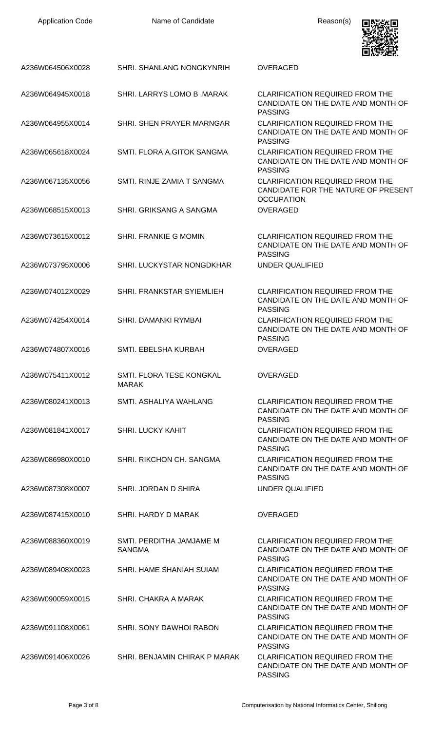| <b>Application Code</b> | Name of Candidate                         | Reason(s)                                                                                                            |
|-------------------------|-------------------------------------------|----------------------------------------------------------------------------------------------------------------------|
| A236W064506X0028        | SHRI. SHANLANG NONGKYNRIH                 | <b>OVERAGED</b>                                                                                                      |
| A236W064945X0018        | SHRI. LARRYS LOMO B. MARAK                | <b>CLARIFICATION REQUIRED FROM THE</b><br>CANDIDATE ON THE DATE AND MONTH OF                                         |
| A236W064955X0014        | SHRI. SHEN PRAYER MARNGAR                 | <b>PASSING</b><br><b>CLARIFICATION REQUIRED FROM THE</b><br>CANDIDATE ON THE DATE AND MONTH OF                       |
| A236W065618X0024        | SMTI. FLORA A.GITOK SANGMA                | <b>PASSING</b><br><b>CLARIFICATION REQUIRED FROM THE</b><br>CANDIDATE ON THE DATE AND MONTH OF                       |
| A236W067135X0056        | SMTI. RINJE ZAMIA T SANGMA                | <b>PASSING</b><br><b>CLARIFICATION REQUIRED FROM THE</b><br>CANDIDATE FOR THE NATURE OF PRESENT<br><b>OCCUPATION</b> |
| A236W068515X0013        | SHRI, GRIKSANG A SANGMA                   | <b>OVERAGED</b>                                                                                                      |
| A236W073615X0012        | SHRI. FRANKIE G MOMIN                     | <b>CLARIFICATION REQUIRED FROM THE</b><br>CANDIDATE ON THE DATE AND MONTH OF<br><b>PASSING</b>                       |
| A236W073795X0006        | SHRI. LUCKYSTAR NONGDKHAR                 | UNDER QUALIFIED                                                                                                      |
| A236W074012X0029        | SHRI. FRANKSTAR SYIEMLIEH                 | <b>CLARIFICATION REQUIRED FROM THE</b><br>CANDIDATE ON THE DATE AND MONTH OF<br><b>PASSING</b>                       |
| A236W074254X0014        | SHRI. DAMANKI RYMBAI                      | <b>CLARIFICATION REQUIRED FROM THE</b><br>CANDIDATE ON THE DATE AND MONTH OF<br><b>PASSING</b>                       |
| A236W074807X0016        | SMTI. EBELSHA KURBAH                      | <b>OVERAGED</b>                                                                                                      |
| A236W075411X0012        | SMTI. FLORA TESE KONGKAL<br><b>MARAK</b>  | <b>OVERAGED</b>                                                                                                      |
| A236W080241X0013        | SMTI. ASHALIYA WAHLANG                    | <b>CLARIFICATION REQUIRED FROM THE</b><br>CANDIDATE ON THE DATE AND MONTH OF<br><b>PASSING</b>                       |
| A236W081841X0017        | <b>SHRI. LUCKY KAHIT</b>                  | <b>CLARIFICATION REQUIRED FROM THE</b><br>CANDIDATE ON THE DATE AND MONTH OF<br><b>PASSING</b>                       |
| A236W086980X0010        | SHRI. RIKCHON CH. SANGMA                  | <b>CLARIFICATION REQUIRED FROM THE</b><br>CANDIDATE ON THE DATE AND MONTH OF<br><b>PASSING</b>                       |
| A236W087308X0007        | SHRI. JORDAN D SHIRA                      | UNDER QUALIFIED                                                                                                      |
| A236W087415X0010        | SHRI. HARDY D MARAK                       | <b>OVERAGED</b>                                                                                                      |
| A236W088360X0019        | SMTI. PERDITHA JAMJAME M<br><b>SANGMA</b> | <b>CLARIFICATION REQUIRED FROM THE</b><br>CANDIDATE ON THE DATE AND MONTH OF<br><b>PASSING</b>                       |
| A236W089408X0023        | SHRI. HAME SHANIAH SUIAM                  | <b>CLARIFICATION REQUIRED FROM THE</b><br>CANDIDATE ON THE DATE AND MONTH OF<br><b>PASSING</b>                       |
| A236W090059X0015        | SHRI. CHAKRA A MARAK                      | <b>CLARIFICATION REQUIRED FROM THE</b><br>CANDIDATE ON THE DATE AND MONTH OF<br><b>PASSING</b>                       |
| A236W091108X0061        | <b>SHRI, SONY DAWHOI RABON</b>            | <b>CLARIFICATION REQUIRED FROM THE</b><br>CANDIDATE ON THE DATE AND MONTH OF<br><b>PASSING</b>                       |
| A236W091406X0026        | SHRI. BENJAMIN CHIRAK P MARAK             | <b>CLARIFICATION REQUIRED FROM THE</b><br>CANDIDATE ON THE DATE AND MONTH OF<br><b>PASSING</b>                       |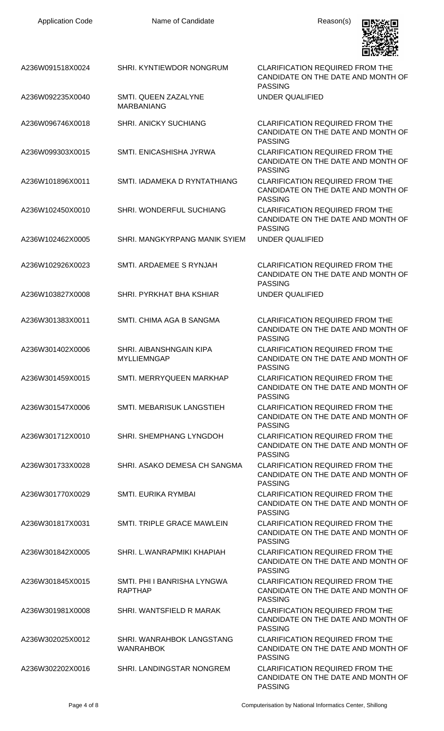| A236W091518X0024 | SHRI. KYNTIEWDOR NONGRUM                      | <b>CLARIFICATION REQUIRED FROM THE</b><br>CANDIDATE ON THE DATE AND MONTH OF<br><b>PASSING</b> |
|------------------|-----------------------------------------------|------------------------------------------------------------------------------------------------|
| A236W092235X0040 | SMTI. QUEEN ZAZALYNE<br><b>MARBANIANG</b>     | UNDER QUALIFIED                                                                                |
| A236W096746X0018 | <b>SHRI. ANICKY SUCHIANG</b>                  | <b>CLARIFICATION REQUIRED FROM THE</b><br>CANDIDATE ON THE DATE AND MONTH OF<br><b>PASSING</b> |
| A236W099303X0015 | SMTI. ENICASHISHA JYRWA                       | <b>CLARIFICATION REQUIRED FROM THE</b><br>CANDIDATE ON THE DATE AND MONTH OF<br><b>PASSING</b> |
| A236W101896X0011 | SMTI, IADAMEKA D RYNTATHIANG                  | <b>CLARIFICATION REQUIRED FROM THE</b><br>CANDIDATE ON THE DATE AND MONTH OF<br><b>PASSING</b> |
| A236W102450X0010 | SHRI. WONDERFUL SUCHIANG                      | <b>CLARIFICATION REQUIRED FROM THE</b><br>CANDIDATE ON THE DATE AND MONTH OF<br><b>PASSING</b> |
| A236W102462X0005 | SHRI. MANGKYRPANG MANIK SYIEM                 | UNDER QUALIFIED                                                                                |
| A236W102926X0023 | SMTI. ARDAEMEE S RYNJAH                       | <b>CLARIFICATION REQUIRED FROM THE</b><br>CANDIDATE ON THE DATE AND MONTH OF<br><b>PASSING</b> |
| A236W103827X0008 | SHRI. PYRKHAT BHA KSHIAR                      | UNDER QUALIFIED                                                                                |
| A236W301383X0011 | SMTI. CHIMA AGA B SANGMA                      | <b>CLARIFICATION REQUIRED FROM THE</b><br>CANDIDATE ON THE DATE AND MONTH OF<br><b>PASSING</b> |
| A236W301402X0006 | SHRI. AIBANSHNGAIN KIPA<br>MYLLIEMNGAP        | <b>CLARIFICATION REQUIRED FROM THE</b><br>CANDIDATE ON THE DATE AND MONTH OF<br><b>PASSING</b> |
| A236W301459X0015 | SMTI. MERRYQUEEN MARKHAP                      | <b>CLARIFICATION REQUIRED FROM THE</b><br>CANDIDATE ON THE DATE AND MONTH OF<br><b>PASSING</b> |
| A236W301547X0006 | SMTI. MEBARISUK LANGSTIEH                     | <b>CLARIFICATION REQUIRED FROM THE</b><br>CANDIDATE ON THE DATE AND MONTH OF<br><b>PASSING</b> |
| A236W301712X0010 | SHRI. SHEMPHANG LYNGDOH                       | <b>CLARIFICATION REQUIRED FROM THE</b><br>CANDIDATE ON THE DATE AND MONTH OF<br><b>PASSING</b> |
| A236W301733X0028 | SHRI. ASAKO DEMESA CH SANGMA                  | <b>CLARIFICATION REQUIRED FROM THE</b><br>CANDIDATE ON THE DATE AND MONTH OF<br><b>PASSING</b> |
| A236W301770X0029 | <b>SMTI. EURIKA RYMBAI</b>                    | <b>CLARIFICATION REQUIRED FROM THE</b><br>CANDIDATE ON THE DATE AND MONTH OF<br><b>PASSING</b> |
| A236W301817X0031 | SMTI. TRIPLE GRACE MAWLEIN                    | <b>CLARIFICATION REQUIRED FROM THE</b><br>CANDIDATE ON THE DATE AND MONTH OF<br><b>PASSING</b> |
| A236W301842X0005 | SHRI. L.WANRAPMIKI KHAPIAH                    | <b>CLARIFICATION REQUIRED FROM THE</b><br>CANDIDATE ON THE DATE AND MONTH OF<br><b>PASSING</b> |
| A236W301845X0015 | SMTI. PHI I BANRISHA LYNGWA<br><b>RAPTHAP</b> | <b>CLARIFICATION REQUIRED FROM THE</b><br>CANDIDATE ON THE DATE AND MONTH OF<br><b>PASSING</b> |
| A236W301981X0008 | SHRI. WANTSFIELD R MARAK                      | <b>CLARIFICATION REQUIRED FROM THE</b><br>CANDIDATE ON THE DATE AND MONTH OF<br><b>PASSING</b> |
| A236W302025X0012 | SHRI. WANRAHBOK LANGSTANG<br><b>WANRAHBOK</b> | <b>CLARIFICATION REQUIRED FROM THE</b><br>CANDIDATE ON THE DATE AND MONTH OF<br><b>PASSING</b> |
| A236W302202X0016 | SHRI. LANDINGSTAR NONGREM                     | <b>CLARIFICATION REQUIRED FROM THE</b><br>CANDIDATE ON THE DATE AND MONTH OF                   |

Application Code **Name of Candidate Name of Candidate** Reason(s)

回晓然回

PASSING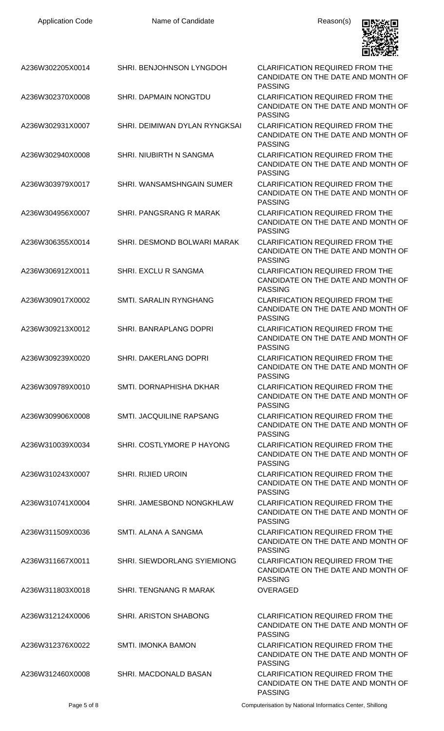| A236W302205X0014 | SHRI. BENJOHNSON LYNGDOH      | <b>CLARIFICATION REQUIRED FROM THE</b><br>CANDIDATE ON THE DATE AND MONTH OF<br><b>PASSING</b> |
|------------------|-------------------------------|------------------------------------------------------------------------------------------------|
| A236W302370X0008 | SHRI. DAPMAIN NONGTDU         | <b>CLARIFICATION REQUIRED FROM THE</b><br>CANDIDATE ON THE DATE AND MONTH OF<br><b>PASSING</b> |
| A236W302931X0007 | SHRI. DEIMIWAN DYLAN RYNGKSAI | <b>CLARIFICATION REQUIRED FROM THE</b><br>CANDIDATE ON THE DATE AND MONTH OF<br><b>PASSING</b> |
| A236W302940X0008 | SHRI. NIUBIRTH N SANGMA       | <b>CLARIFICATION REQUIRED FROM THE</b><br>CANDIDATE ON THE DATE AND MONTH OF<br><b>PASSING</b> |
| A236W303979X0017 | SHRI. WANSAMSHNGAIN SUMER     | <b>CLARIFICATION REQUIRED FROM THE</b><br>CANDIDATE ON THE DATE AND MONTH OF<br><b>PASSING</b> |
| A236W304956X0007 | SHRI. PANGSRANG R MARAK       | <b>CLARIFICATION REQUIRED FROM THE</b><br>CANDIDATE ON THE DATE AND MONTH OF<br><b>PASSING</b> |
| A236W306355X0014 | SHRI. DESMOND BOLWARI MARAK   | <b>CLARIFICATION REQUIRED FROM THE</b><br>CANDIDATE ON THE DATE AND MONTH OF<br><b>PASSING</b> |
| A236W306912X0011 | SHRI. EXCLU R SANGMA          | <b>CLARIFICATION REQUIRED FROM THE</b><br>CANDIDATE ON THE DATE AND MONTH OF<br><b>PASSING</b> |
| A236W309017X0002 | SMTI. SARALIN RYNGHANG        | <b>CLARIFICATION REQUIRED FROM THE</b><br>CANDIDATE ON THE DATE AND MONTH OF<br><b>PASSING</b> |
| A236W309213X0012 | <b>SHRI. BANRAPLANG DOPRI</b> | <b>CLARIFICATION REQUIRED FROM THE</b><br>CANDIDATE ON THE DATE AND MONTH OF<br><b>PASSING</b> |
| A236W309239X0020 | SHRI. DAKERLANG DOPRI         | <b>CLARIFICATION REQUIRED FROM THE</b><br>CANDIDATE ON THE DATE AND MONTH OF<br><b>PASSING</b> |
| A236W309789X0010 | SMTI. DORNAPHISHA DKHAR       | <b>CLARIFICATION REQUIRED FROM THE</b><br>CANDIDATE ON THE DATE AND MONTH OF<br><b>PASSING</b> |
| A236W309906X0008 | SMTI. JACQUILINE RAPSANG      | <b>CLARIFICATION REQUIRED FROM THE</b><br>CANDIDATE ON THE DATE AND MONTH OF<br><b>PASSING</b> |
| A236W310039X0034 | SHRI. COSTLYMORE P HAYONG     | <b>CLARIFICATION REQUIRED FROM THE</b><br>CANDIDATE ON THE DATE AND MONTH OF<br><b>PASSING</b> |
| A236W310243X0007 | <b>SHRI. RIJIED UROIN</b>     | <b>CLARIFICATION REQUIRED FROM THE</b><br>CANDIDATE ON THE DATE AND MONTH OF<br><b>PASSING</b> |
| A236W310741X0004 | SHRI. JAMESBOND NONGKHLAW     | <b>CLARIFICATION REQUIRED FROM THE</b><br>CANDIDATE ON THE DATE AND MONTH OF<br><b>PASSING</b> |
| A236W311509X0036 | SMTI. ALANA A SANGMA          | <b>CLARIFICATION REQUIRED FROM THE</b><br>CANDIDATE ON THE DATE AND MONTH OF<br><b>PASSING</b> |
| A236W311667X0011 | SHRI. SIEWDORLANG SYIEMIONG   | <b>CLARIFICATION REQUIRED FROM THE</b><br>CANDIDATE ON THE DATE AND MONTH OF<br><b>PASSING</b> |
| A236W311803X0018 | SHRI. TENGNANG R MARAK        | <b>OVERAGED</b>                                                                                |
| A236W312124X0006 | <b>SHRI. ARISTON SHABONG</b>  | <b>CLARIFICATION REQUIRED FROM THE</b><br>CANDIDATE ON THE DATE AND MONTH OF<br><b>PASSING</b> |
| A236W312376X0022 | <b>SMTI. IMONKA BAMON</b>     | <b>CLARIFICATION REQUIRED FROM THE</b><br>CANDIDATE ON THE DATE AND MONTH OF<br><b>PASSING</b> |
| A236W312460X0008 | SHRI. MACDONALD BASAN         | <b>CLARIFICATION REQUIRED FROM THE</b><br>CANDIDATE ON THE DATE AND MONTH OF                   |

Application Code **Name of Candidate Name of Candidate** Reason(s)

回溯激回

Page 5 of 8 Computerisation by National Informatics Center, Shillong

PASSING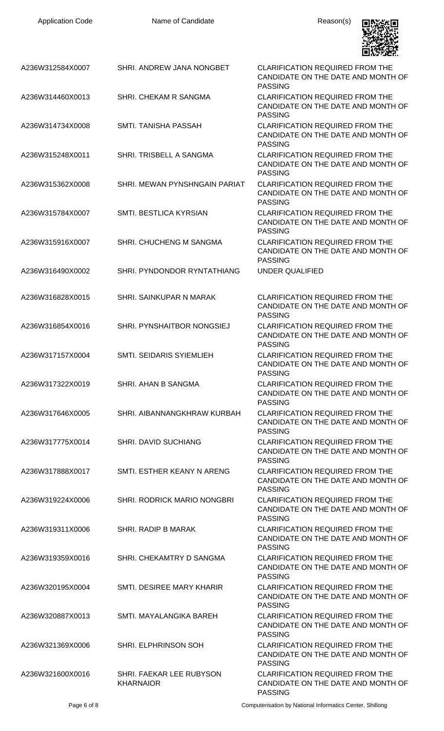| <b>Application Code</b> | Name of Candidate                            | Reason(s)                                                                                      |
|-------------------------|----------------------------------------------|------------------------------------------------------------------------------------------------|
| A236W312584X0007        | SHRI. ANDREW JANA NONGBET                    | <b>CLARIFICATION REQUIRED FROM THE</b><br>CANDIDATE ON THE DATE AND MONTH OF<br><b>PASSING</b> |
| A236W314460X0013        | SHRI. CHEKAM R SANGMA                        | <b>CLARIFICATION REQUIRED FROM THE</b><br>CANDIDATE ON THE DATE AND MONTH OF<br><b>PASSING</b> |
| A236W314734X0008        | SMTI. TANISHA PASSAH                         | <b>CLARIFICATION REQUIRED FROM THE</b><br>CANDIDATE ON THE DATE AND MONTH OF<br><b>PASSING</b> |
| A236W315248X0011        | SHRI. TRISBELL A SANGMA                      | <b>CLARIFICATION REQUIRED FROM THE</b><br>CANDIDATE ON THE DATE AND MONTH OF<br><b>PASSING</b> |
| A236W315362X0008        | SHRI. MEWAN PYNSHNGAIN PARIAT                | <b>CLARIFICATION REQUIRED FROM THE</b><br>CANDIDATE ON THE DATE AND MONTH OF<br><b>PASSING</b> |
| A236W315784X0007        | SMTI. BESTLICA KYRSIAN                       | <b>CLARIFICATION REQUIRED FROM THE</b><br>CANDIDATE ON THE DATE AND MONTH OF<br><b>PASSING</b> |
| A236W315916X0007        | SHRI. CHUCHENG M SANGMA                      | <b>CLARIFICATION REQUIRED FROM THE</b><br>CANDIDATE ON THE DATE AND MONTH OF<br><b>PASSING</b> |
| A236W316490X0002        | SHRI. PYNDONDOR RYNTATHIANG                  | UNDER QUALIFIED                                                                                |
| A236W316828X0015        | SHRI. SAINKUPAR N MARAK                      | <b>CLARIFICATION REQUIRED FROM THE</b><br>CANDIDATE ON THE DATE AND MONTH OF<br><b>PASSING</b> |
| A236W316854X0016        | SHRI. PYNSHAITBOR NONGSIEJ                   | CLARIFICATION REQUIRED FROM THE<br>CANDIDATE ON THE DATE AND MONTH OF<br><b>PASSING</b>        |
| A236W317157X0004        | SMTI. SEIDARIS SYIEMLIEH                     | <b>CLARIFICATION REQUIRED FROM THE</b><br>CANDIDATE ON THE DATE AND MONTH OF<br><b>PASSING</b> |
| A236W317322X0019        | SHRI. AHAN B SANGMA                          | <b>CLARIFICATION REQUIRED FROM THE</b><br>CANDIDATE ON THE DATE AND MONTH OF<br><b>PASSING</b> |
| A236W317646X0005        | SHRI. AIBANNANGKHRAW KURBAH                  | <b>CLARIFICATION REQUIRED FROM THE</b><br>CANDIDATE ON THE DATE AND MONTH OF<br><b>PASSING</b> |
| A236W317775X0014        | <b>SHRI. DAVID SUCHIANG</b>                  | <b>CLARIFICATION REQUIRED FROM THE</b><br>CANDIDATE ON THE DATE AND MONTH OF<br><b>PASSING</b> |
| A236W317888X0017        | SMTI. ESTHER KEANY N ARENG                   | <b>CLARIFICATION REQUIRED FROM THE</b><br>CANDIDATE ON THE DATE AND MONTH OF<br><b>PASSING</b> |
| A236W319224X0006        | <b>SHRI. RODRICK MARIO NONGBRI</b>           | <b>CLARIFICATION REQUIRED FROM THE</b><br>CANDIDATE ON THE DATE AND MONTH OF<br><b>PASSING</b> |
| A236W319311X0006        | SHRI, RADIP B MARAK                          | <b>CLARIFICATION REQUIRED FROM THE</b><br>CANDIDATE ON THE DATE AND MONTH OF<br><b>PASSING</b> |
| A236W319359X0016        | SHRI. CHEKAMTRY D SANGMA                     | <b>CLARIFICATION REQUIRED FROM THE</b><br>CANDIDATE ON THE DATE AND MONTH OF<br><b>PASSING</b> |
| A236W320195X0004        | SMTI. DESIREE MARY KHARIR                    | <b>CLARIFICATION REQUIRED FROM THE</b><br>CANDIDATE ON THE DATE AND MONTH OF<br><b>PASSING</b> |
| A236W320887X0013        | SMTI. MAYALANGIKA BAREH                      | <b>CLARIFICATION REQUIRED FROM THE</b><br>CANDIDATE ON THE DATE AND MONTH OF<br><b>PASSING</b> |
| A236W321369X0006        | SHRI. ELPHRINSON SOH                         | <b>CLARIFICATION REQUIRED FROM THE</b><br>CANDIDATE ON THE DATE AND MONTH OF<br>PASSING        |
| A236W321600X0016        | SHRI. FAEKAR LEE RUBYSON<br><b>KHARNAIOR</b> | <b>CLARIFICATION REQUIRED FROM THE</b><br>CANDIDATE ON THE DATE AND MONTH OF<br><b>PASSING</b> |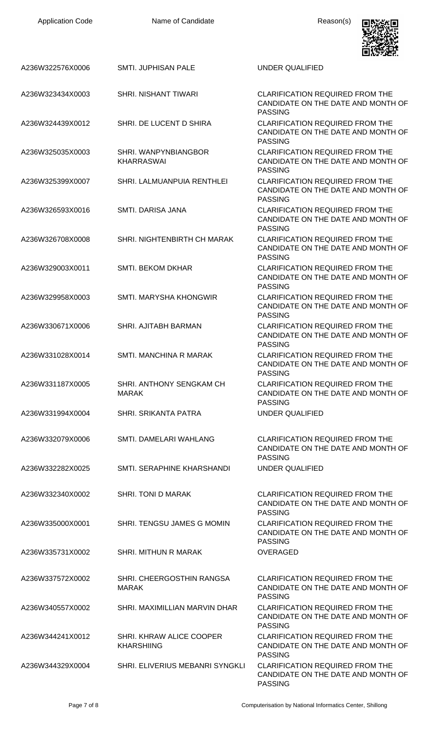| <b>Application Code</b> | Name of Candidate                             | Reason(s)                                                                                      |
|-------------------------|-----------------------------------------------|------------------------------------------------------------------------------------------------|
|                         |                                               |                                                                                                |
| A236W322576X0006        | <b>SMTI. JUPHISAN PALE</b>                    | <b>UNDER QUALIFIED</b>                                                                         |
| A236W323434X0003        | <b>SHRI. NISHANT TIWARI</b>                   | <b>CLARIFICATION REQUIRED FROM THE</b><br>CANDIDATE ON THE DATE AND MONTH OF<br><b>PASSING</b> |
| A236W324439X0012        | SHRI. DE LUCENT D SHIRA                       | <b>CLARIFICATION REQUIRED FROM THE</b><br>CANDIDATE ON THE DATE AND MONTH OF<br><b>PASSING</b> |
| A236W325035X0003        | SHRI. WANPYNBIANGBOR<br><b>KHARRASWAI</b>     | <b>CLARIFICATION REQUIRED FROM THE</b><br>CANDIDATE ON THE DATE AND MONTH OF<br><b>PASSING</b> |
| A236W325399X0007        | SHRI. LALMUANPUIA RENTHLEI                    | <b>CLARIFICATION REQUIRED FROM THE</b><br>CANDIDATE ON THE DATE AND MONTH OF<br><b>PASSING</b> |
| A236W326593X0016        | SMTI, DARISA JANA                             | <b>CLARIFICATION REQUIRED FROM THE</b><br>CANDIDATE ON THE DATE AND MONTH OF<br><b>PASSING</b> |
| A236W326708X0008        | SHRI. NIGHTENBIRTH CH MARAK                   | <b>CLARIFICATION REQUIRED FROM THE</b><br>CANDIDATE ON THE DATE AND MONTH OF<br><b>PASSING</b> |
| A236W329003X0011        | <b>SMTI. BEKOM DKHAR</b>                      | <b>CLARIFICATION REQUIRED FROM THE</b><br>CANDIDATE ON THE DATE AND MONTH OF<br><b>PASSING</b> |
| A236W329958X0003        | SMTI. MARYSHA KHONGWIR                        | <b>CLARIFICATION REQUIRED FROM THE</b><br>CANDIDATE ON THE DATE AND MONTH OF<br><b>PASSING</b> |
| A236W330671X0006        | SHRI. AJITABH BARMAN                          | <b>CLARIFICATION REQUIRED FROM THE</b><br>CANDIDATE ON THE DATE AND MONTH OF<br><b>PASSING</b> |
| A236W331028X0014        | SMTI, MANCHINA R MARAK                        | <b>CLARIFICATION REQUIRED FROM THE</b><br>CANDIDATE ON THE DATE AND MONTH OF<br><b>PASSING</b> |
| A236W331187X0005        | SHRI. ANTHONY SENGKAM CH<br><b>MARAK</b>      | <b>CLARIFICATION REQUIRED FROM THE</b><br>CANDIDATE ON THE DATE AND MONTH OF<br><b>PASSING</b> |
| A236W331994X0004        | <b>SHRI, SRIKANTA PATRA</b>                   | <b>UNDER QUALIFIED</b>                                                                         |
| A236W332079X0006        | SMTI. DAMELARI WAHLANG                        | <b>CLARIFICATION REQUIRED FROM THE</b><br>CANDIDATE ON THE DATE AND MONTH OF<br><b>PASSING</b> |
| A236W332282X0025        | SMTI. SERAPHINE KHARSHANDI                    | UNDER QUALIFIED                                                                                |
| A236W332340X0002        | SHRI. TONI D MARAK                            | <b>CLARIFICATION REQUIRED FROM THE</b><br>CANDIDATE ON THE DATE AND MONTH OF<br><b>PASSING</b> |
| A236W335000X0001        | SHRI. TENGSU JAMES G MOMIN                    | <b>CLARIFICATION REQUIRED FROM THE</b><br>CANDIDATE ON THE DATE AND MONTH OF<br><b>PASSING</b> |
| A236W335731X0002        | <b>SHRI. MITHUN R MARAK</b>                   | <b>OVERAGED</b>                                                                                |
| A236W337572X0002        | SHRI. CHEERGOSTHIN RANGSA<br><b>MARAK</b>     | <b>CLARIFICATION REQUIRED FROM THE</b><br>CANDIDATE ON THE DATE AND MONTH OF<br><b>PASSING</b> |
| A236W340557X0002        | SHRI. MAXIMILLIAN MARVIN DHAR                 | <b>CLARIFICATION REQUIRED FROM THE</b><br>CANDIDATE ON THE DATE AND MONTH OF<br><b>PASSING</b> |
| A236W344241X0012        | SHRI. KHRAW ALICE COOPER<br><b>KHARSHIING</b> | <b>CLARIFICATION REQUIRED FROM THE</b><br>CANDIDATE ON THE DATE AND MONTH OF<br><b>PASSING</b> |
| A236W344329X0004        | SHRI. ELIVERIUS MEBANRI SYNGKLI               | <b>CLARIFICATION REQUIRED FROM THE</b><br>CANDIDATE ON THE DATE AND MONTH OF<br><b>PASSING</b> |